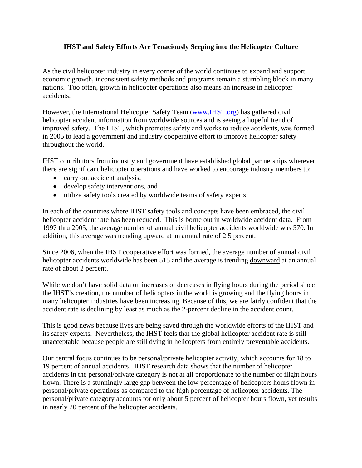## **IHST and Safety Efforts Are Tenaciously Seeping into the Helicopter Culture**

As the civil helicopter industry in every corner of the world continues to expand and support economic growth, inconsistent safety methods and programs remain a stumbling block in many nations. Too often, growth in helicopter operations also means an increase in helicopter accidents.

However, the International Helicopter Safety Team (www.IHST.org) has gathered civil helicopter accident information from worldwide sources and is seeing a hopeful trend of improved safety. The IHST, which promotes safety and works to reduce accidents, was formed in 2005 to lead a government and industry cooperative effort to improve helicopter safety throughout the world.

IHST contributors from industry and government have established global partnerships wherever there are significant helicopter operations and have worked to encourage industry members to:

- carry out accident analysis,
- develop safety interventions, and
- utilize safety tools created by worldwide teams of safety experts.

In each of the countries where IHST safety tools and concepts have been embraced, the civil helicopter accident rate has been reduced. This is borne out in worldwide accident data. From 1997 thru 2005, the average number of annual civil helicopter accidents worldwide was 570. In addition, this average was trending upward at an annual rate of 2.5 percent.

Since 2006, when the IHST cooperative effort was formed, the average number of annual civil helicopter accidents worldwide has been 515 and the average is trending downward at an annual rate of about 2 percent.

While we don't have solid data on increases or decreases in flying hours during the period since the IHST's creation, the number of helicopters in the world is growing and the flying hours in many helicopter industries have been increasing. Because of this, we are fairly confident that the accident rate is declining by least as much as the 2-percent decline in the accident count.

This is good news because lives are being saved through the worldwide efforts of the IHST and its safety experts. Nevertheless, the IHST feels that the global helicopter accident rate is still unacceptable because people are still dying in helicopters from entirely preventable accidents.

Our central focus continues to be personal/private helicopter activity, which accounts for 18 to 19 percent of annual accidents. IHST research data shows that the number of helicopter accidents in the personal/private category is not at all proportionate to the number of flight hours flown. There is a stunningly large gap between the low percentage of helicopters hours flown in personal/private operations as compared to the high percentage of helicopter accidents. The personal/private category accounts for only about 5 percent of helicopter hours flown, yet results in nearly 20 percent of the helicopter accidents.